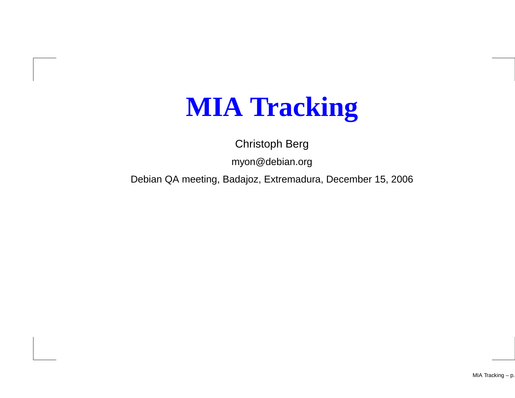## **MIA Tracking**

Christoph Berg

myon@debian.org

Debian QA meeting, Badajoz, Extremadura, December 15, 2006

MIA Tracking – p.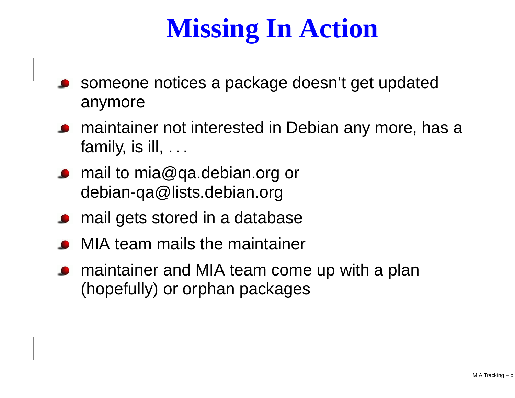## **Missing In Action**

- someone notices <sup>a</sup> package doesn't get updatedanymore
- **•** maintainer not interested in Debian any more, has a family, is ill,  $\dots$
- mail to mia@qa.debian.org ordebian-qa@lists.debian.org
- **•** mail gets stored in a database
- MIA team mails the maintainer
- maintainer and MIA team come up with <sup>a</sup> plan(hopefully) or orphan packages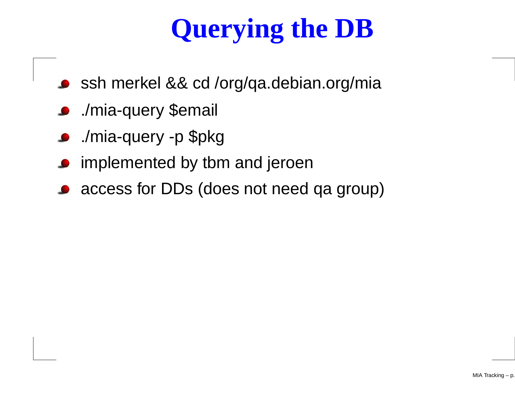# **Querying the DB**

- ssh merkel && cd /org/qa.debian.org/mia
- ./mia-query \$email
- ./mia-query -p \$pkg $\bullet$
- implemented by tbm and jeroen
- access for DDs (does not need qa group)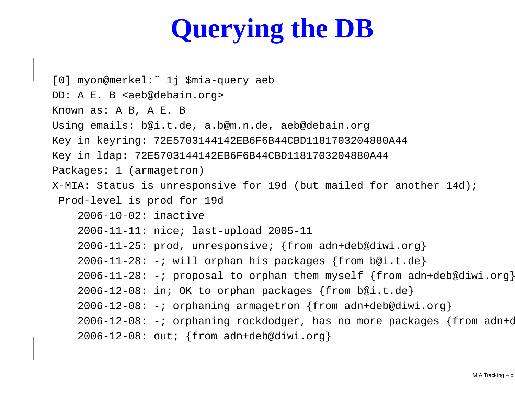## **Querying the DB**

```
[0] myon@merkel:˜ 1j $mia-query aeb
DD: A E. B <aeb@debain.org>
Known as: A B, A E. B
Using emails: b@i.t.de, a.b@m.n.de, aeb@debain.org
Key in keyring: 72E5703144142EB6F6B44CBD1181703204880A44
Key in ldap: 72E5703144142EB6F6B44CBD1181703204880A44
Packages: 1 (armagetron)
X-MIA: Status is unresponsive for 19d (but mailed for another 14d);
 Prod-level is prod for 19d
    2006-10-02: inactive
    2006-11-11: nice; last-upload 2005-11
    2006-11-25: prod, unresponsive; {from adn+deb@diwi.org}
    2006-11-28: -i will orphan his packages {from b@i.t.de}
    2006-11-28: -; proposal to orphan them myself \{from adn+deb@divi.org\}2006-12-08: in; OK to orphan packages {from b@i.t.de}
    2006-12-08: -; orphaning armagetron {from adn+deb@diwi.org}
    2006-12-08: -; orphaning rockdodger, has no more packages {from adn+d
    2006-12-08: out; {from adn+deb@diwi.org}
```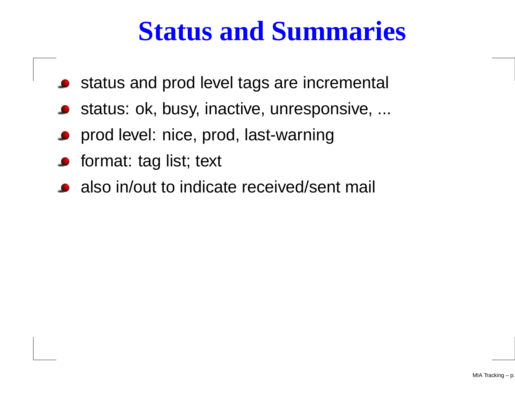### **Status and Summaries**

- status and prod level tags are incremental
- status: ok, busy, inactive, unresponsive, ...
- prod level: nice, prod, last-warning
- **o** format: tag list; text
- also in/out to indicate received/sent mail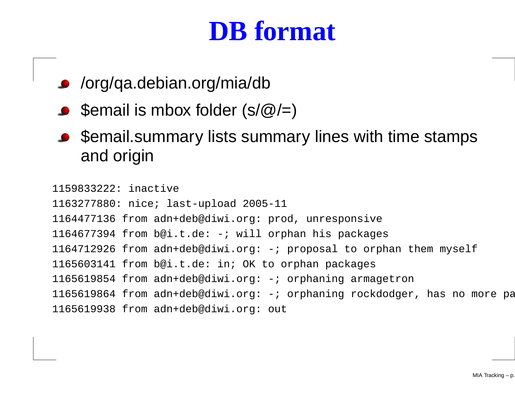#### **DB format**

- /org/qa.debian.org/mia/db
- $\bullet$  \$email is mbox folder (s/ $@$ /=)
- **Semail.summary lists summary lines with time stamps** and origin

1159833222: inactive 1163277880: nice; last-upload 2005-11 from adn+deb@diwi.org: prod, unresponsive from b@i.t.de: -; will orphan his packages from adn+deb@diwi.org: -; proposal to orphan them myself from b@i.t.de: in; OK to orphan packages from adn+deb@diwi.org: -; orphaning armagetron 1165619864 from adn+deb@diwi.org: -; orphaning rockdodger, has no more pa from adn+deb@diwi.org: out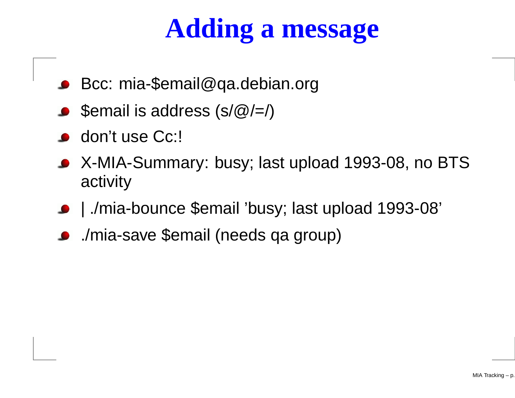## **Adding <sup>a</sup> message**

- Bcc: mia-\$email@qa.debian.org
- $\bullet$  \$email is address (s/ $\circledR$ /=/)
- **don't use Cc:!**
- X-MIA-Summary: busy; last upload 1993-08, no BTS activity
- | ./mia-bounce \$email 'busy; last upload 1993-08'
- ./mia-save \$email (needs qa group)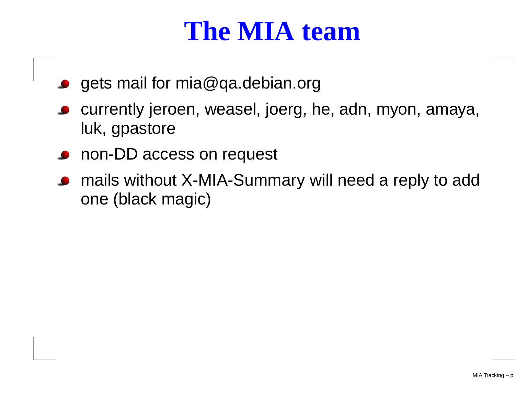#### **The MIA team**

- gets mail for mia@qa.debian.org
- currently jeroen, weasel, joerg, he, adn, myon, amaya, luk, gpastore
- **o** non-DD access on request
- mails without X-MIA-Summary will need <sup>a</sup> reply to addone (black magic)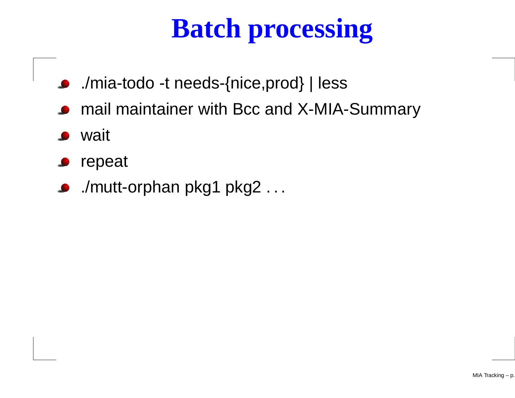# **Batch processing**

- ./mia-todo -t needs-{nice,prod} | less
- mail maintainer with Bcc and X-MIA-Summary
- **S** wait
- repeat
- ./mutt-orphan pkg1 pkg2 . . .